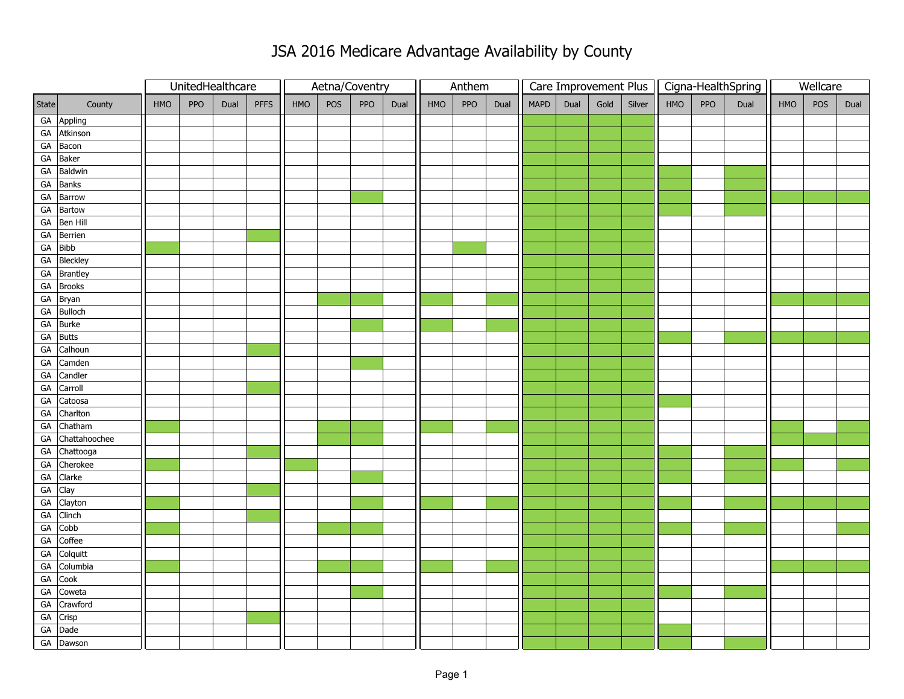|       |                  | UnitedHealthcare |     |      | Aetna/Coventry |     |     |     | Anthem |     |     |      |      |      | Care Improvement Plus |        |     | Cigna-HealthSpring | Wellcare |     |     |      |
|-------|------------------|------------------|-----|------|----------------|-----|-----|-----|--------|-----|-----|------|------|------|-----------------------|--------|-----|--------------------|----------|-----|-----|------|
| State | County           | HMO              | PPO | Dual | PFFS           | HMO | POS | PPO | Dual   | HMO | PPO | Dual | MAPD | Dual | Gold                  | Silver | HMO | PPO                | Dual     | HMO | POS | Dual |
|       | GA Appling       |                  |     |      |                |     |     |     |        |     |     |      |      |      |                       |        |     |                    |          |     |     |      |
|       | GA Atkinson      |                  |     |      |                |     |     |     |        |     |     |      |      |      |                       |        |     |                    |          |     |     |      |
|       | GA Bacon         |                  |     |      |                |     |     |     |        |     |     |      |      |      |                       |        |     |                    |          |     |     |      |
|       | GA Baker         |                  |     |      |                |     |     |     |        |     |     |      |      |      |                       |        |     |                    |          |     |     |      |
|       | GA Baldwin       |                  |     |      |                |     |     |     |        |     |     |      |      |      |                       |        |     |                    |          |     |     |      |
|       | GA Banks         |                  |     |      |                |     |     |     |        |     |     |      |      |      |                       |        |     |                    |          |     |     |      |
|       | GA Barrow        |                  |     |      |                |     |     |     |        |     |     |      |      |      |                       |        |     |                    |          |     |     |      |
|       | GA Bartow        |                  |     |      |                |     |     |     |        |     |     |      |      |      |                       |        |     |                    |          |     |     |      |
|       | GA Ben Hill      |                  |     |      |                |     |     |     |        |     |     |      |      |      |                       |        |     |                    |          |     |     |      |
|       | GA Berrien       |                  |     |      |                |     |     |     |        |     |     |      |      |      |                       |        |     |                    |          |     |     |      |
|       | GA Bibb          |                  |     |      |                |     |     |     |        |     |     |      |      |      |                       |        |     |                    |          |     |     |      |
|       | GA Bleckley      |                  |     |      |                |     |     |     |        |     |     |      |      |      |                       |        |     |                    |          |     |     |      |
|       | GA Brantley      |                  |     |      |                |     |     |     |        |     |     |      |      |      |                       |        |     |                    |          |     |     |      |
|       | GA Brooks        |                  |     |      |                |     |     |     |        |     |     |      |      |      |                       |        |     |                    |          |     |     |      |
|       | GA Bryan         |                  |     |      |                |     |     |     |        |     |     |      |      |      |                       |        |     |                    |          |     |     |      |
|       | GA Bulloch       |                  |     |      |                |     |     |     |        |     |     |      |      |      |                       |        |     |                    |          |     |     |      |
|       | GA Burke         |                  |     |      |                |     |     |     |        |     |     |      |      |      |                       |        |     |                    |          |     |     |      |
|       | GA Butts         |                  |     |      |                |     |     |     |        |     |     |      |      |      |                       |        |     |                    |          |     |     |      |
|       | GA Calhoun       |                  |     |      |                |     |     |     |        |     |     |      |      |      |                       |        |     |                    |          |     |     |      |
|       | GA Camden        |                  |     |      |                |     |     |     |        |     |     |      |      |      |                       |        |     |                    |          |     |     |      |
| GA    | Candler          |                  |     |      |                |     |     |     |        |     |     |      |      |      |                       |        |     |                    |          |     |     |      |
| GA    | Carroll          |                  |     |      |                |     |     |     |        |     |     |      |      |      |                       |        |     |                    |          |     |     |      |
|       | GA Catoosa       |                  |     |      |                |     |     |     |        |     |     |      |      |      |                       |        |     |                    |          |     |     |      |
|       | GA Charlton      |                  |     |      |                |     |     |     |        |     |     |      |      |      |                       |        |     |                    |          |     |     |      |
|       | GA Chatham       |                  |     |      |                |     |     |     |        |     |     |      |      |      |                       |        |     |                    |          |     |     |      |
|       | GA Chattahoochee |                  |     |      |                |     |     |     |        |     |     |      |      |      |                       |        |     |                    |          |     |     |      |
|       | GA Chattooga     |                  |     |      |                |     |     |     |        |     |     |      |      |      |                       |        |     |                    |          |     |     |      |
|       | GA Cherokee      |                  |     |      |                |     |     |     |        |     |     |      |      |      |                       |        |     |                    |          |     |     |      |
|       | GA Clarke        |                  |     |      |                |     |     |     |        |     |     |      |      |      |                       |        |     |                    |          |     |     |      |
|       | GA Clay          |                  |     |      |                |     |     |     |        |     |     |      |      |      |                       |        |     |                    |          |     |     |      |
|       | GA Clayton       |                  |     |      |                |     |     |     |        |     |     |      |      |      |                       |        |     |                    |          |     |     |      |
|       | GA Clinch        |                  |     |      |                |     |     |     |        |     |     |      |      |      |                       |        |     |                    |          |     |     |      |
|       | GA Cobb          |                  |     |      |                |     |     |     |        |     |     |      |      |      |                       |        |     |                    |          |     |     |      |
| GA    | Coffee           |                  |     |      |                |     |     |     |        |     |     |      |      |      |                       |        |     |                    |          |     |     |      |
|       | GA Colquitt      |                  |     |      |                |     |     |     |        |     |     |      |      |      |                       |        |     |                    |          |     |     |      |
|       | GA Columbia      |                  |     |      |                |     |     |     |        |     |     |      |      |      |                       |        |     |                    |          |     |     |      |
|       | GA Cook          |                  |     |      |                |     |     |     |        |     |     |      |      |      |                       |        |     |                    |          |     |     |      |
|       | GA Coweta        |                  |     |      |                |     |     |     |        |     |     |      |      |      |                       |        |     |                    |          |     |     |      |
|       | GA Crawford      |                  |     |      |                |     |     |     |        |     |     |      |      |      |                       |        |     |                    |          |     |     |      |
|       | GA Crisp         |                  |     |      |                |     |     |     |        |     |     |      |      |      |                       |        |     |                    |          |     |     |      |
|       | GA Dade          |                  |     |      |                |     |     |     |        |     |     |      |      |      |                       |        |     |                    |          |     |     |      |
|       | GA Dawson        |                  |     |      |                |     |     |     |        |     |     |      |      |      |                       |        |     |                    |          |     |     |      |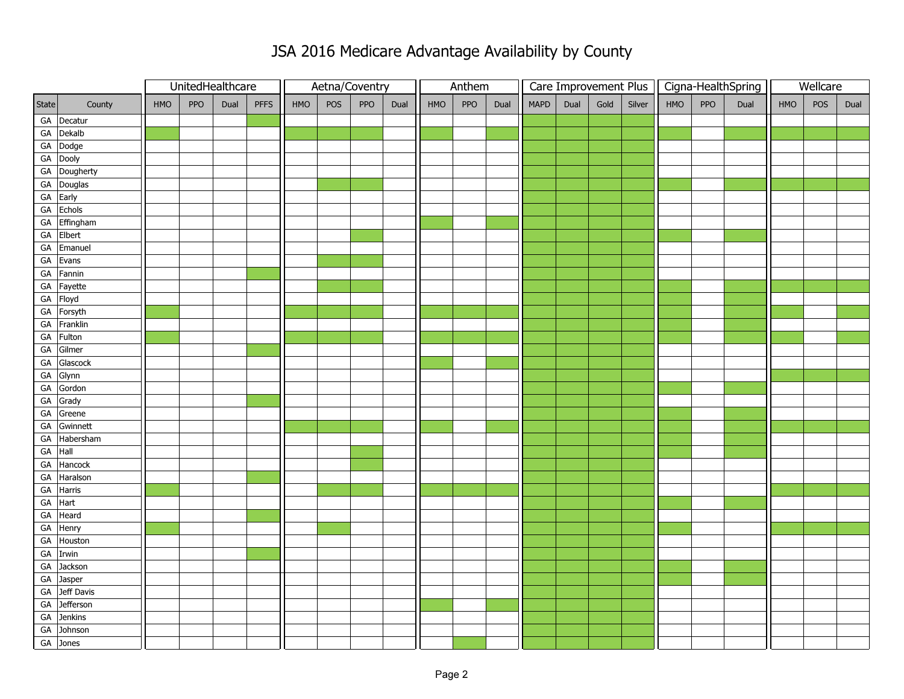|            |              | UnitedHealthcare |     |      |             |     | Aetna/Coventry |     | Anthem |     |     |      | Care Improvement Plus |      |      | Cigna-HealthSpring |     |     | Wellcare |     |     |      |
|------------|--------------|------------------|-----|------|-------------|-----|----------------|-----|--------|-----|-----|------|-----------------------|------|------|--------------------|-----|-----|----------|-----|-----|------|
| State      | County       | HMO              | PPO | Dual | <b>PFFS</b> | HMO | POS            | PPO | Dual   | HMO | PPO | Dual | <b>MAPD</b>           | Dual | Gold | Silver             | HMO | PPO | Dual     | HMO | POS | Dual |
|            | GA Decatur   |                  |     |      |             |     |                |     |        |     |     |      |                       |      |      |                    |     |     |          |     |     |      |
|            | GA Dekalb    |                  |     |      |             |     |                |     |        |     |     |      |                       |      |      |                    |     |     |          |     |     |      |
|            | GA Dodge     |                  |     |      |             |     |                |     |        |     |     |      |                       |      |      |                    |     |     |          |     |     |      |
|            | GA Dooly     |                  |     |      |             |     |                |     |        |     |     |      |                       |      |      |                    |     |     |          |     |     |      |
|            | GA Dougherty |                  |     |      |             |     |                |     |        |     |     |      |                       |      |      |                    |     |     |          |     |     |      |
|            | GA Douglas   |                  |     |      |             |     |                |     |        |     |     |      |                       |      |      |                    |     |     |          |     |     |      |
|            | GA Early     |                  |     |      |             |     |                |     |        |     |     |      |                       |      |      |                    |     |     |          |     |     |      |
| ${\sf GA}$ | Echols       |                  |     |      |             |     |                |     |        |     |     |      |                       |      |      |                    |     |     |          |     |     |      |
| ${\sf GA}$ | Effingham    |                  |     |      |             |     |                |     |        |     |     |      |                       |      |      |                    |     |     |          |     |     |      |
| GA         | Elbert       |                  |     |      |             |     |                |     |        |     |     |      |                       |      |      |                    |     |     |          |     |     |      |
| ${\sf GA}$ | Emanuel      |                  |     |      |             |     |                |     |        |     |     |      |                       |      |      |                    |     |     |          |     |     |      |
| GA         | Evans        |                  |     |      |             |     |                |     |        |     |     |      |                       |      |      |                    |     |     |          |     |     |      |
| GA         | Fannin       |                  |     |      |             |     |                |     |        |     |     |      |                       |      |      |                    |     |     |          |     |     |      |
| ${\sf GA}$ | Fayette      |                  |     |      |             |     |                |     |        |     |     |      |                       |      |      |                    |     |     |          |     |     |      |
| ${\sf GA}$ | Floyd        |                  |     |      |             |     |                |     |        |     |     |      |                       |      |      |                    |     |     |          |     |     |      |
| GA         | Forsyth      |                  |     |      |             |     |                |     |        |     |     |      |                       |      |      |                    |     |     |          |     |     |      |
| ${\sf GA}$ | Franklin     |                  |     |      |             |     |                |     |        |     |     |      |                       |      |      |                    |     |     |          |     |     |      |
| GA         | Fulton       |                  |     |      |             |     |                |     |        |     |     |      |                       |      |      |                    |     |     |          |     |     |      |
| GA         | Gilmer       |                  |     |      |             |     |                |     |        |     |     |      |                       |      |      |                    |     |     |          |     |     |      |
| ${\sf GA}$ | Glascock     |                  |     |      |             |     |                |     |        |     |     |      |                       |      |      |                    |     |     |          |     |     |      |
| ${\sf GA}$ | Glynn        |                  |     |      |             |     |                |     |        |     |     |      |                       |      |      |                    |     |     |          |     |     |      |
| GA         | Gordon       |                  |     |      |             |     |                |     |        |     |     |      |                       |      |      |                    |     |     |          |     |     |      |
| ${\sf GA}$ | Grady        |                  |     |      |             |     |                |     |        |     |     |      |                       |      |      |                    |     |     |          |     |     |      |
| ${\sf GA}$ | Greene       |                  |     |      |             |     |                |     |        |     |     |      |                       |      |      |                    |     |     |          |     |     |      |
| GA         | Gwinnett     |                  |     |      |             |     |                |     |        |     |     |      |                       |      |      |                    |     |     |          |     |     |      |
| ${\sf GA}$ | Habersham    |                  |     |      |             |     |                |     |        |     |     |      |                       |      |      |                    |     |     |          |     |     |      |
| GA         | Hall         |                  |     |      |             |     |                |     |        |     |     |      |                       |      |      |                    |     |     |          |     |     |      |
| GA         | Hancock      |                  |     |      |             |     |                |     |        |     |     |      |                       |      |      |                    |     |     |          |     |     |      |
| ${\sf GA}$ | Haralson     |                  |     |      |             |     |                |     |        |     |     |      |                       |      |      |                    |     |     |          |     |     |      |
| GA         | Harris       |                  |     |      |             |     |                |     |        |     |     |      |                       |      |      |                    |     |     |          |     |     |      |
| GA         | Hart         |                  |     |      |             |     |                |     |        |     |     |      |                       |      |      |                    |     |     |          |     |     |      |
| ${\sf GA}$ | Heard        |                  |     |      |             |     |                |     |        |     |     |      |                       |      |      |                    |     |     |          |     |     |      |
| ${\sf GA}$ | Henry        |                  |     |      |             |     |                |     |        |     |     |      |                       |      |      |                    |     |     |          |     |     |      |
| GA         | Houston      |                  |     |      |             |     |                |     |        |     |     |      |                       |      |      |                    |     |     |          |     |     |      |
|            | GA Irwin     |                  |     |      |             |     |                |     |        |     |     |      |                       |      |      |                    |     |     |          |     |     |      |
| ${\sf GA}$ | Jackson      |                  |     |      |             |     |                |     |        |     |     |      |                       |      |      |                    |     |     |          |     |     |      |
| ${\sf GA}$ | Jasper       |                  |     |      |             |     |                |     |        |     |     |      |                       |      |      |                    |     |     |          |     |     |      |
| ${\sf GA}$ | Jeff Davis   |                  |     |      |             |     |                |     |        |     |     |      |                       |      |      |                    |     |     |          |     |     |      |
| GA         | Jefferson    |                  |     |      |             |     |                |     |        |     |     |      |                       |      |      |                    |     |     |          |     |     |      |
| GA         | Jenkins      |                  |     |      |             |     |                |     |        |     |     |      |                       |      |      |                    |     |     |          |     |     |      |
| ${\sf GA}$ | Johnson      |                  |     |      |             |     |                |     |        |     |     |      |                       |      |      |                    |     |     |          |     |     |      |
|            | GA Jones     |                  |     |      |             |     |                |     |        |     |     |      |                       |      |      |                    |     |     |          |     |     |      |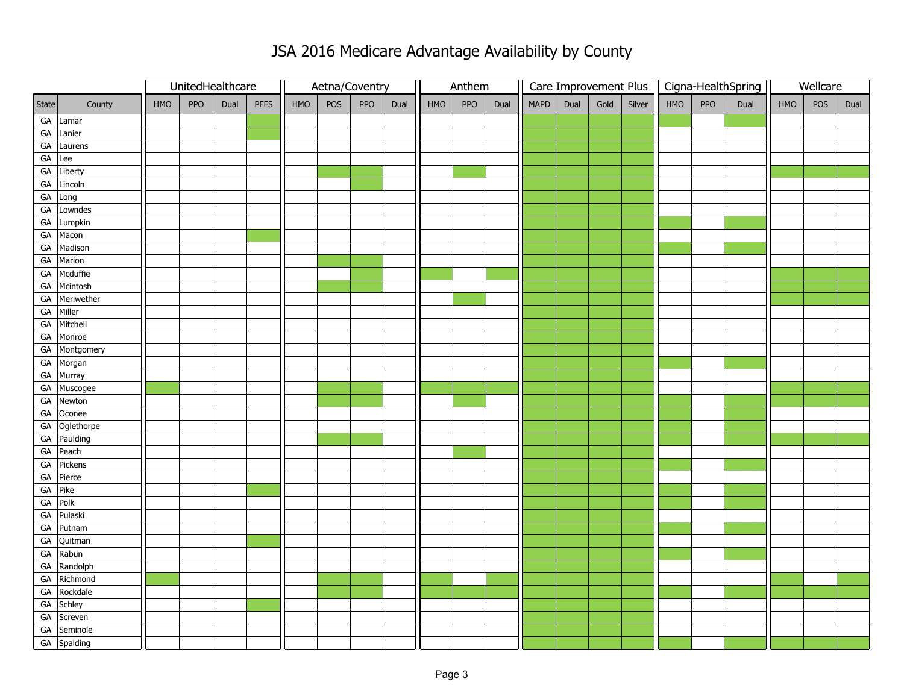|            |               |     | UnitedHealthcare |      |             |     |     | Aetna/Coventry |      | Anthem |     |      |             |      |      | Care Improvement Plus | Cigna-HealthSpring |     |      | Wellcare |     |      |
|------------|---------------|-----|------------------|------|-------------|-----|-----|----------------|------|--------|-----|------|-------------|------|------|-----------------------|--------------------|-----|------|----------|-----|------|
| State      | County        | HMO | PPO              | Dual | <b>PFFS</b> | HMO | POS | PPO            | Dual | HMO    | PPO | Dual | <b>MAPD</b> | Dual | Gold | Silver                | HMO                | PPO | Dual | HMO      | POS | Dual |
|            | GA Lamar      |     |                  |      |             |     |     |                |      |        |     |      |             |      |      |                       |                    |     |      |          |     |      |
|            | GA Lanier     |     |                  |      |             |     |     |                |      |        |     |      |             |      |      |                       |                    |     |      |          |     |      |
|            | GA Laurens    |     |                  |      |             |     |     |                |      |        |     |      |             |      |      |                       |                    |     |      |          |     |      |
| GA         | Lee           |     |                  |      |             |     |     |                |      |        |     |      |             |      |      |                       |                    |     |      |          |     |      |
|            | GA Liberty    |     |                  |      |             |     |     |                |      |        |     |      |             |      |      |                       |                    |     |      |          |     |      |
|            | GA Lincoln    |     |                  |      |             |     |     |                |      |        |     |      |             |      |      |                       |                    |     |      |          |     |      |
| GA         | Long          |     |                  |      |             |     |     |                |      |        |     |      |             |      |      |                       |                    |     |      |          |     |      |
| GA         | Lowndes       |     |                  |      |             |     |     |                |      |        |     |      |             |      |      |                       |                    |     |      |          |     |      |
| GA         | Lumpkin       |     |                  |      |             |     |     |                |      |        |     |      |             |      |      |                       |                    |     |      |          |     |      |
|            | GA Macon      |     |                  |      |             |     |     |                |      |        |     |      |             |      |      |                       |                    |     |      |          |     |      |
|            | GA Madison    |     |                  |      |             |     |     |                |      |        |     |      |             |      |      |                       |                    |     |      |          |     |      |
|            | GA Marion     |     |                  |      |             |     |     |                |      |        |     |      |             |      |      |                       |                    |     |      |          |     |      |
|            | GA Mcduffie   |     |                  |      |             |     |     |                |      |        |     |      |             |      |      |                       |                    |     |      |          |     |      |
|            | GA Mcintosh   |     |                  |      |             |     |     |                |      |        |     |      |             |      |      |                       |                    |     |      |          |     |      |
|            | GA Meriwether |     |                  |      |             |     |     |                |      |        |     |      |             |      |      |                       |                    |     |      |          |     |      |
|            | GA Miller     |     |                  |      |             |     |     |                |      |        |     |      |             |      |      |                       |                    |     |      |          |     |      |
|            | GA Mitchell   |     |                  |      |             |     |     |                |      |        |     |      |             |      |      |                       |                    |     |      |          |     |      |
|            | GA Monroe     |     |                  |      |             |     |     |                |      |        |     |      |             |      |      |                       |                    |     |      |          |     |      |
|            | GA Montgomery |     |                  |      |             |     |     |                |      |        |     |      |             |      |      |                       |                    |     |      |          |     |      |
|            | GA Morgan     |     |                  |      |             |     |     |                |      |        |     |      |             |      |      |                       |                    |     |      |          |     |      |
|            | GA Murray     |     |                  |      |             |     |     |                |      |        |     |      |             |      |      |                       |                    |     |      |          |     |      |
|            | GA Muscogee   |     |                  |      |             |     |     |                |      |        |     |      |             |      |      |                       |                    |     |      |          |     |      |
|            | GA Newton     |     |                  |      |             |     |     |                |      |        |     |      |             |      |      |                       |                    |     |      |          |     |      |
|            | GA Oconee     |     |                  |      |             |     |     |                |      |        |     |      |             |      |      |                       |                    |     |      |          |     |      |
|            | GA Oglethorpe |     |                  |      |             |     |     |                |      |        |     |      |             |      |      |                       |                    |     |      |          |     |      |
|            | GA Paulding   |     |                  |      |             |     |     |                |      |        |     |      |             |      |      |                       |                    |     |      |          |     |      |
|            | GA Peach      |     |                  |      |             |     |     |                |      |        |     |      |             |      |      |                       |                    |     |      |          |     |      |
|            | GA Pickens    |     |                  |      |             |     |     |                |      |        |     |      |             |      |      |                       |                    |     |      |          |     |      |
|            | GA Pierce     |     |                  |      |             |     |     |                |      |        |     |      |             |      |      |                       |                    |     |      |          |     |      |
|            | GA Pike       |     |                  |      |             |     |     |                |      |        |     |      |             |      |      |                       |                    |     |      |          |     |      |
|            | GA Polk       |     |                  |      |             |     |     |                |      |        |     |      |             |      |      |                       |                    |     |      |          |     |      |
| ${\sf GA}$ | Pulaski       |     |                  |      |             |     |     |                |      |        |     |      |             |      |      |                       |                    |     |      |          |     |      |
|            | GA Putnam     |     |                  |      |             |     |     |                |      |        |     |      |             |      |      |                       |                    |     |      |          |     |      |
|            | GA Quitman    |     |                  |      |             |     |     |                |      |        |     |      |             |      |      |                       |                    |     |      |          |     |      |
|            | GA Rabun      |     |                  |      |             |     |     |                |      |        |     |      |             |      |      |                       |                    |     |      |          |     |      |
|            | GA Randolph   |     |                  |      |             |     |     |                |      |        |     |      |             |      |      |                       |                    |     |      |          |     |      |
|            | GA Richmond   |     |                  |      |             |     |     |                |      |        |     |      |             |      |      |                       |                    |     |      |          |     |      |
|            | GA Rockdale   |     |                  |      |             |     |     |                |      |        |     |      |             |      |      |                       |                    |     |      |          |     |      |
|            | GA Schley     |     |                  |      |             |     |     |                |      |        |     |      |             |      |      |                       |                    |     |      |          |     |      |
|            | GA Screven    |     |                  |      |             |     |     |                |      |        |     |      |             |      |      |                       |                    |     |      |          |     |      |
|            | GA Seminole   |     |                  |      |             |     |     |                |      |        |     |      |             |      |      |                       |                    |     |      |          |     |      |
|            | GA Spalding   |     |                  |      |             |     |     |                |      |        |     |      |             |      |      |                       |                    |     |      |          |     |      |